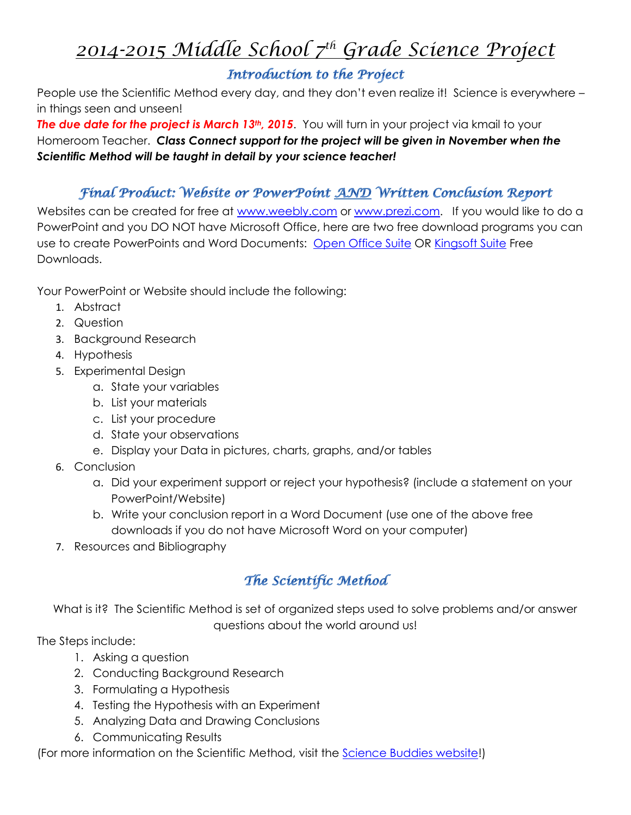# *2014-2015 Middle School 7th Grade Science Project*

## Introduction to the Project

People use the Scientific Method every day, and they don't even realize it! Science is everywhere – in things seen and unseen!

**The due date for the project is March 13<sup>th</sup>, 2015**. You will turn in your project via kmail to your Homeroom Teacher. *Class Connect support for the project will be given in November when the Scientific Method will be taught in detail by your science teacher!*

### Final Product: Website or PowerPoint AND Written Conclusion Report

Websites can be created for free at [www.weebly.com](http://www.weebly.com/) or [www.prezi.com.](http://www.prezi.com/) If you would like to do a PowerPoint and you DO NOT have Microsoft Office, here are two free download programs you can use to create PowerPoints and Word Documents: [Open Office Suite](https://www.download-free.com/office-suite?source=ga&gclid=CIrTirfm1bICFQcGnQod2ykA4g) OR [Kingsoft Suite](http://www.kingsoftstore.com/kingsoft-office-freeware.html) Free Downloads.

Your PowerPoint or Website should include the following:

- 1. Abstract
- 2. Question
- 3. Background Research
- 4. Hypothesis
- 5. Experimental Design
	- a. State your variables
	- b. List your materials
	- c. List your procedure
	- d. State your observations
	- e. Display your Data in pictures, charts, graphs, and/or tables
- 6. Conclusion
	- a. Did your experiment support or reject your hypothesis? (include a statement on your PowerPoint/Website)
	- b. Write your conclusion report in a Word Document (use one of the above free downloads if you do not have Microsoft Word on your computer)
- 7. Resources and Bibliography

# The Scientific Method

What is it? The Scientific Method is set of organized steps used to solve problems and/or answer questions about the world around us!

The Steps include:

- 1. Asking a question
- 2. Conducting Background Research
- 3. Formulating a Hypothesis
- 4. Testing the Hypothesis with an Experiment
- 5. Analyzing Data and Drawing Conclusions
- 6. Communicating Results

(For more information on the Scientific Method, visit the [Science Buddies website!](http://www.sciencebuddies.org/science-fair-projects/project_scientific_method.shtml#overviewofthescientificmethod))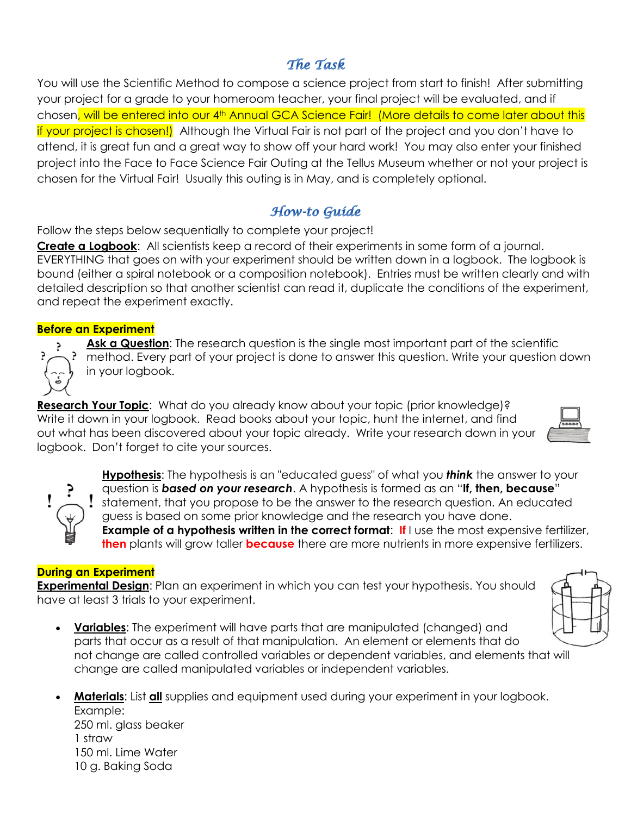### The Task

You will use the Scientific Method to compose a science project from start to finish! After submitting your project for a grade to your homeroom teacher, your final project will be evaluated, and if chosen, will be entered into our 4th Annual GCA Science Fair! (More details to come later about this if your project is chosen!) Although the Virtual Fair is not part of the project and you don't have to attend, it is great fun and a great way to show off your hard work! You may also enter your finished project into the Face to Face Science Fair Outing at the Tellus Museum whether or not your project is chosen for the Virtual Fair! Usually this outing is in May, and is completely optional.

## How-to Guide

Follow the steps below sequentially to complete your project!

**Create a Logbook**: All scientists keep a record of their experiments in some form of a journal. EVERYTHING that goes on with your experiment should be written down in a logbook. The logbook is bound (either a spiral notebook or a composition notebook). Entries must be written clearly and with detailed description so that another scientist can read it, duplicate the conditions of the experiment, and repeat the experiment exactly.

#### **Before an Experiment**

**Ask a Question**: The research question is the single most important part of the scientific method. Every part of your project is done to answer this question. Write your question down in your logbook.

**Research Your Topic**: What do you already know about your topic (prior knowledge)? Write it down in your logbook. Read books about your topic, hunt the internet, and find out what has been discovered about your topic already. Write your research down in your logbook. Don't forget to cite your sources.

**Hypothesis**: The hypothesis is an "educated guess" of what you *think* the answer to your question is *based on your research*. A hypothesis is formed as an "**If, then, because**" I statement, that you propose to be the answer to the research question. An educated guess is based on some prior knowledge and the research you have done. **Example of a hypothesis written in the correct format: If** I use the most expensive fertilizer, **then** plants will grow taller **because** there are more nutrients in more expensive fertilizers.

#### **During an Experiment**

**Experimental Design**: Plan an experiment in which you can test your hypothesis. You should have at least 3 trials to your experiment.

- **Variables**: The experiment will have parts that are manipulated (changed) and parts that occur as a result of that manipulation. An element or elements that do not change are called controlled variables or dependent variables, and elements that will change are called manipulated variables or independent variables.
- **Materials**: List **all** supplies and equipment used during your experiment in your logbook. Example: 250 ml. glass beaker 1 straw

150 ml. Lime Water 10 g. Baking Soda



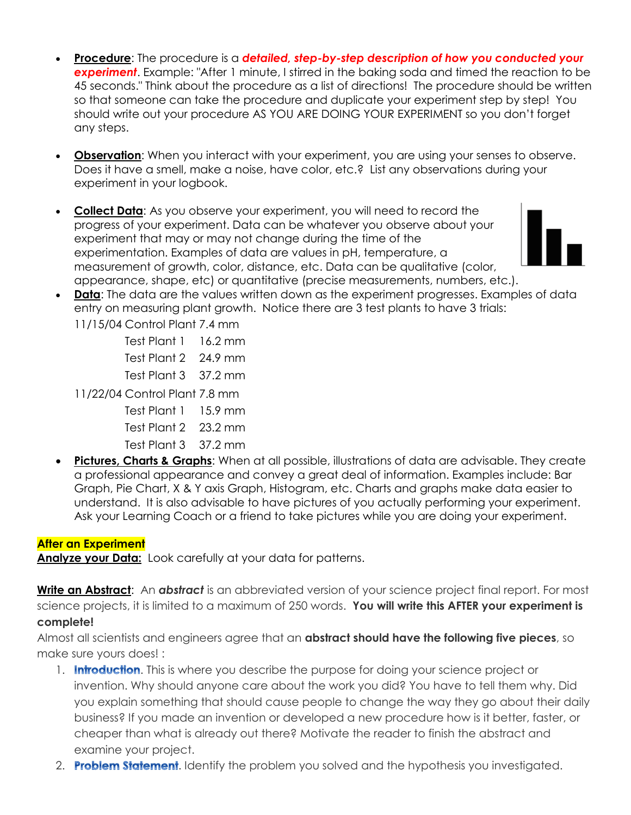- **Procedure**: The procedure is a *detailed, step-by-step description of how you conducted your experiment*. Example: "After 1 minute, I stirred in the baking soda and timed the reaction to be 45 seconds." Think about the procedure as a list of directions! The procedure should be written so that someone can take the procedure and duplicate your experiment step by step! You should write out your procedure AS YOU ARE DOING YOUR EXPERIMENT so you don't forget any steps.
- **Observation**: When you interact with your experiment, you are using your senses to observe. Does it have a smell, make a noise, have color, etc.? List any observations during your experiment in your logbook.
- **Collect Data**: As you observe your experiment, you will need to record the progress of your experiment. Data can be whatever you observe about your experiment that may or may not change during the time of the experimentation. Examples of data are values in pH, temperature, a measurement of growth, color, distance, etc. Data can be qualitative (color, appearance, shape, etc) or quantitative (precise measurements, numbers, etc.).



- **Data:** The data are the values written down as the experiment progresses. Examples of data entry on measuring plant growth. Notice there are 3 test plants to have 3 trials: 11/15/04 Control Plant 7.4 mm
	- Test Plant 1 16.2 mm
	- Test Plant 2 24.9 mm
	- Test Plant 3 37.2 mm

11/22/04 Control Plant 7.8 mm

- Test Plant 1 15.9 mm
- Test Plant 2 23.2 mm
- Test Plant 3 37.2 mm
- **Pictures, Charts & Graphs**: When at all possible, illustrations of data are advisable. They create a professional appearance and convey a great deal of information. Examples include: Bar Graph, Pie Chart, X & Y axis Graph, Histogram, etc. Charts and graphs make data easier to understand. It is also advisable to have pictures of you actually performing your experiment. Ask your Learning Coach or a friend to take pictures while you are doing your experiment.

### **After an Experiment**

Analyze your Data: Look carefully at your data for patterns.

**Write an Abstract**: An *abstract* is an abbreviated version of your science project final report. For most science projects, it is limited to a maximum of 250 words. **You will write this AFTER your experiment is complete!**

Almost all scientists and engineers agree that an **abstract should have the following five pieces**, so make sure yours does! :

- 1. **Introduction**. This is where you describe the purpose for doing your science project or invention. Why should anyone care about the work you did? You have to tell them why. Did you explain something that should cause people to change the way they go about their daily business? If you made an invention or developed a new procedure how is it better, faster, or cheaper than what is already out there? Motivate the reader to finish the abstract and examine your project.
- 2. **Problem Statement**. Identify the problem you solved and the hypothesis you investigated.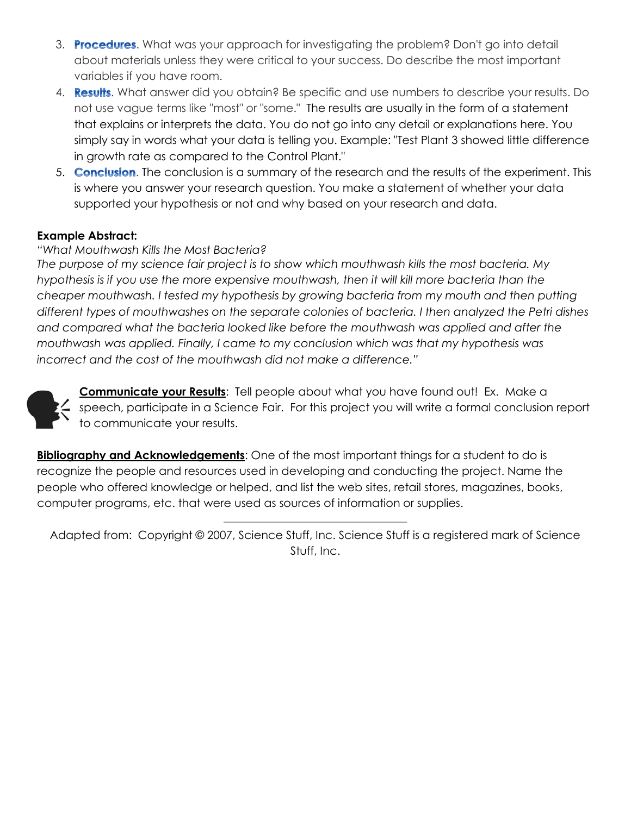- 3. Procedures. What was your approach for investigating the problem? Don't go into detail about materials unless they were critical to your success. Do describe the most important variables if you have room.
- 4. **Results**. What answer did you obtain? Be specific and use numbers to describe your results. Do not use vague terms like "most" or "some." The results are usually in the form of a statement that explains or interprets the data. You do not go into any detail or explanations here. You simply say in words what your data is telling you. Example: "Test Plant 3 showed little difference in growth rate as compared to the Control Plant."
- 5. **Conclusion**. The conclusion is a summary of the research and the results of the experiment. This is where you answer your research question. You make a statement of whether your data supported your hypothesis or not and why based on your research and data.

#### **Example Abstract:**

#### *"What Mouthwash Kills the Most Bacteria?*

*The purpose of my science fair project is to show which mouthwash kills the most bacteria. My hypothesis is if you use the more expensive mouthwash, then it will kill more bacteria than the cheaper mouthwash. I tested my hypothesis by growing bacteria from my mouth and then putting different types of mouthwashes on the separate colonies of bacteria. I then analyzed the Petri dishes and compared what the bacteria looked like before the mouthwash was applied and after the mouthwash was applied. Finally, I came to my conclusion which was that my hypothesis was incorrect and the cost of the mouthwash did not make a difference."* 



**Communicate your Results**: Tell people about what you have found out! Ex. Make a  $\lesssim$  speech, participate in a Science Fair. For this project you will write a formal conclusion report to communicate your results.

**Bibliography and Acknowledgements:** One of the most important things for a student to do is recognize the people and resources used in developing and conducting the project. Name the people who offered knowledge or helped, and list the web sites, retail stores, magazines, books, computer programs, etc. that were used as sources of information or supplies.

Adapted from: Copyright © 2007, Science Stuff, Inc. Science Stuff is a registered mark of Science Stuff, Inc.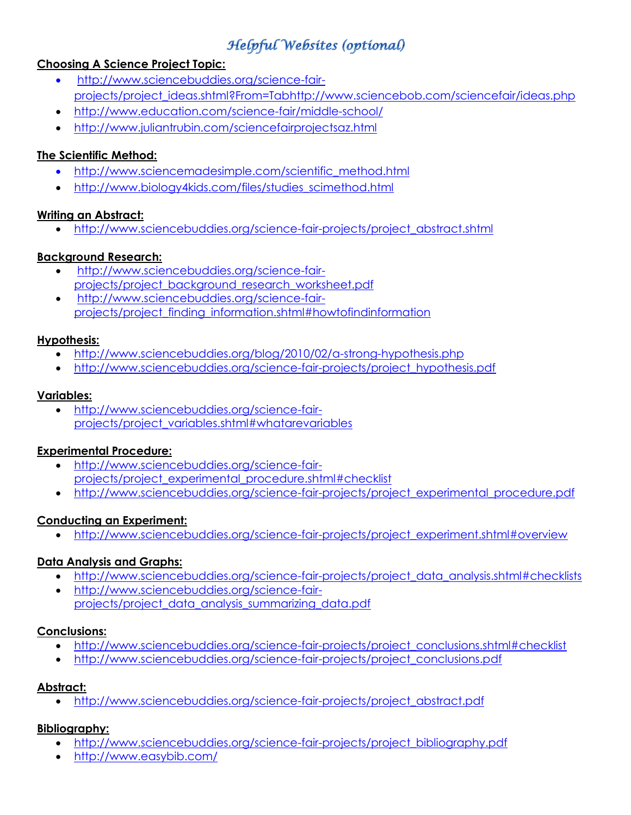# **Helpful Websites (optional)**

#### **Choosing A Science Project Topic:**

- [http://www.sciencebuddies.org/science-fair](http://www.sciencebuddies.org/science-fair-projects/project_ideas.shtml?From=Tab)[projects/project\\_ideas.shtml?From=Tab](http://www.sciencebuddies.org/science-fair-projects/project_ideas.shtml?From=Tab)<http://www.sciencebob.com/sciencefair/ideas.php>
- <http://www.education.com/science-fair/middle-school/>
- <http://www.juliantrubin.com/sciencefairprojectsaz.html>

#### **The Scientific Method:**

- [http://www.sciencemadesimple.com/scientific\\_method.html](http://www.sciencemadesimple.com/scientific_method.html)
- [http://www.biology4kids.com/files/studies\\_scimethod.html](http://www.biology4kids.com/files/studies_scimethod.html)

#### **Writing an Abstract:**

[http://www.sciencebuddies.org/science-fair-projects/project\\_abstract.shtml](http://www.sciencebuddies.org/science-fair-projects/project_abstract.shtml)

#### **Background Research:**

- [http://www.sciencebuddies.org/science-fair](http://www.sciencebuddies.org/science-fair-projects/project_background_research_worksheet.pdf)[projects/project\\_background\\_research\\_worksheet.pdf](http://www.sciencebuddies.org/science-fair-projects/project_background_research_worksheet.pdf)
- [http://www.sciencebuddies.org/science-fair](http://www.sciencebuddies.org/science-fair-projects/project_finding_information.shtml#howtofindinformation)[projects/project\\_finding\\_information.shtml#howtofindinformation](http://www.sciencebuddies.org/science-fair-projects/project_finding_information.shtml#howtofindinformation)

#### **Hypothesis:**

- <http://www.sciencebuddies.org/blog/2010/02/a-strong-hypothesis.php>
- [http://www.sciencebuddies.org/science-fair-projects/project\\_hypothesis.pdf](http://www.sciencebuddies.org/science-fair-projects/project_hypothesis.pdf)

#### **Variables:**

 [http://www.sciencebuddies.org/science-fair](http://www.sciencebuddies.org/science-fair-projects/project_variables.shtml#whatarevariables)[projects/project\\_variables.shtml#whatarevariables](http://www.sciencebuddies.org/science-fair-projects/project_variables.shtml#whatarevariables)

#### **Experimental Procedure:**

- [http://www.sciencebuddies.org/science-fair](http://www.sciencebuddies.org/science-fair-projects/project_experimental_procedure.shtml#checklist)[projects/project\\_experimental\\_procedure.shtml#checklist](http://www.sciencebuddies.org/science-fair-projects/project_experimental_procedure.shtml#checklist)
- [http://www.sciencebuddies.org/science-fair-projects/project\\_experimental\\_procedure.pdf](http://www.sciencebuddies.org/science-fair-projects/project_experimental_procedure.pdf)

#### **Conducting an Experiment:**

[http://www.sciencebuddies.org/science-fair-projects/project\\_experiment.shtml#overview](http://www.sciencebuddies.org/science-fair-projects/project_experiment.shtml#overview)

#### **Data Analysis and Graphs:**

- [http://www.sciencebuddies.org/science-fair-projects/project\\_data\\_analysis.shtml#checklists](http://www.sciencebuddies.org/science-fair-projects/project_data_analysis.shtml#checklists)
- [http://www.sciencebuddies.org/science-fair](http://www.sciencebuddies.org/science-fair-projects/project_data_analysis_summarizing_data.pdf)[projects/project\\_data\\_analysis\\_summarizing\\_data.pdf](http://www.sciencebuddies.org/science-fair-projects/project_data_analysis_summarizing_data.pdf)

#### **Conclusions:**

- [http://www.sciencebuddies.org/science-fair-projects/project\\_conclusions.shtml#checklist](http://www.sciencebuddies.org/science-fair-projects/project_conclusions.shtml#checklist)
- [http://www.sciencebuddies.org/science-fair-projects/project\\_conclusions.pdf](http://www.sciencebuddies.org/science-fair-projects/project_conclusions.pdf)

#### **Abstract:**

[http://www.sciencebuddies.org/science-fair-projects/project\\_abstract.pdf](http://www.sciencebuddies.org/science-fair-projects/project_abstract.pdf)

#### **Bibliography:**

- [http://www.sciencebuddies.org/science-fair-projects/project\\_bibliography.pdf](http://www.sciencebuddies.org/science-fair-projects/project_bibliography.pdf)
- <http://www.easybib.com/>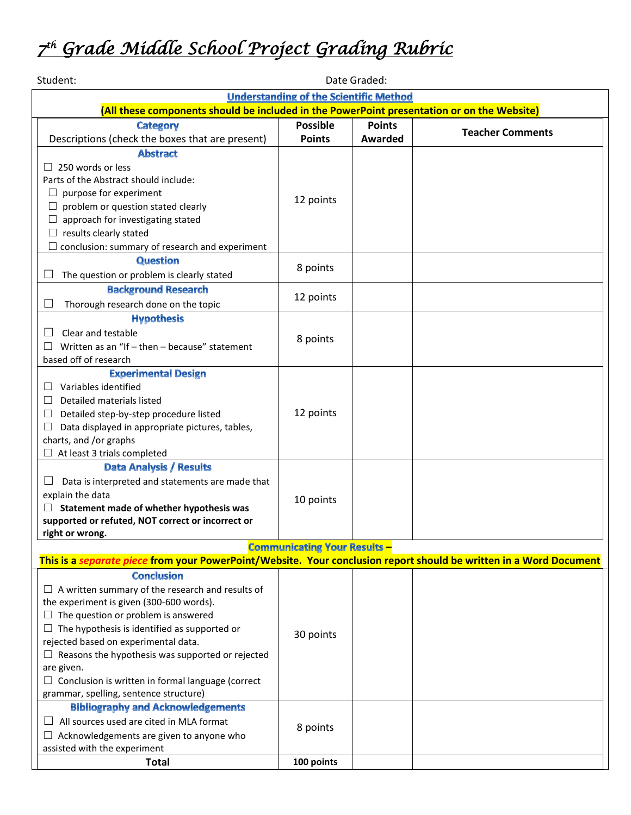# *7 th Grade Middle School Project Grading Rubric*

| Student:<br>Date Graded:                                                                                                                                  |                 |                |                         |  |
|-----------------------------------------------------------------------------------------------------------------------------------------------------------|-----------------|----------------|-------------------------|--|
| <b>Understanding of the Scientific Method</b>                                                                                                             |                 |                |                         |  |
| (All these components should be included in the PowerPoint presentation or on the Website)                                                                |                 |                |                         |  |
| <b>Category</b>                                                                                                                                           | <b>Possible</b> | <b>Points</b>  | <b>Teacher Comments</b> |  |
| Descriptions (check the boxes that are present)                                                                                                           | <b>Points</b>   | <b>Awarded</b> |                         |  |
| <b>Abstract</b>                                                                                                                                           |                 |                |                         |  |
| $\Box$ 250 words or less                                                                                                                                  |                 |                |                         |  |
| Parts of the Abstract should include:                                                                                                                     | 12 points       |                |                         |  |
| $\Box$ purpose for experiment                                                                                                                             |                 |                |                         |  |
| problem or question stated clearly                                                                                                                        |                 |                |                         |  |
| approach for investigating stated                                                                                                                         |                 |                |                         |  |
| $\Box$ results clearly stated                                                                                                                             |                 |                |                         |  |
| conclusion: summary of research and experiment                                                                                                            |                 |                |                         |  |
| <b>Question</b>                                                                                                                                           | 8 points        |                |                         |  |
| The question or problem is clearly stated                                                                                                                 |                 |                |                         |  |
| <b>Background Research</b>                                                                                                                                | 12 points       |                |                         |  |
| Thorough research done on the topic                                                                                                                       |                 |                |                         |  |
| <b>Hypothesis</b>                                                                                                                                         |                 |                |                         |  |
| Clear and testable<br>$\Box$                                                                                                                              | 8 points        |                |                         |  |
| Written as an "If - then - because" statement<br>Ш                                                                                                        |                 |                |                         |  |
| based off of research                                                                                                                                     |                 |                |                         |  |
| <b>Experimental Design</b>                                                                                                                                |                 |                |                         |  |
| Variables identified<br>Ш.                                                                                                                                |                 |                |                         |  |
| Detailed materials listed<br>ш                                                                                                                            | 12 points       |                |                         |  |
| Detailed step-by-step procedure listed<br>ப                                                                                                               |                 |                |                         |  |
| Data displayed in appropriate pictures, tables,<br>$\Box$                                                                                                 |                 |                |                         |  |
| charts, and /or graphs                                                                                                                                    |                 |                |                         |  |
| $\Box$ At least 3 trials completed                                                                                                                        |                 |                |                         |  |
| Data Analysis / Results                                                                                                                                   |                 |                |                         |  |
| Data is interpreted and statements are made that<br>ப                                                                                                     |                 |                |                         |  |
| explain the data                                                                                                                                          | 10 points       |                |                         |  |
| $\Box$ Statement made of whether hypothesis was                                                                                                           |                 |                |                         |  |
| supported or refuted, NOT correct or incorrect or                                                                                                         |                 |                |                         |  |
| right or wrong.                                                                                                                                           |                 |                |                         |  |
| <b>Communicating Your Results -</b><br>This is a separate piece from your PowerPoint/Website. Your conclusion report should be written in a Word Document |                 |                |                         |  |
|                                                                                                                                                           |                 |                |                         |  |
| <b>Conclusion</b>                                                                                                                                         |                 |                |                         |  |
| $\Box$ A written summary of the research and results of                                                                                                   |                 |                |                         |  |
| the experiment is given (300-600 words).<br>$\Box$ The question or problem is answered                                                                    |                 |                |                         |  |
| $\Box$ The hypothesis is identified as supported or                                                                                                       | 30 points       |                |                         |  |
| rejected based on experimental data.                                                                                                                      |                 |                |                         |  |
| $\Box$ Reasons the hypothesis was supported or rejected                                                                                                   |                 |                |                         |  |
| are given.                                                                                                                                                |                 |                |                         |  |
| $\Box$ Conclusion is written in formal language (correct                                                                                                  |                 |                |                         |  |
| grammar, spelling, sentence structure)                                                                                                                    |                 |                |                         |  |
| <b>Bibliography and Acknowledgements</b>                                                                                                                  |                 |                |                         |  |
| $\Box$ All sources used are cited in MLA format                                                                                                           |                 |                |                         |  |
| $\Box$ Acknowledgements are given to anyone who                                                                                                           | 8 points        |                |                         |  |
| assisted with the experiment                                                                                                                              |                 |                |                         |  |
| <b>Total</b>                                                                                                                                              | 100 points      |                |                         |  |